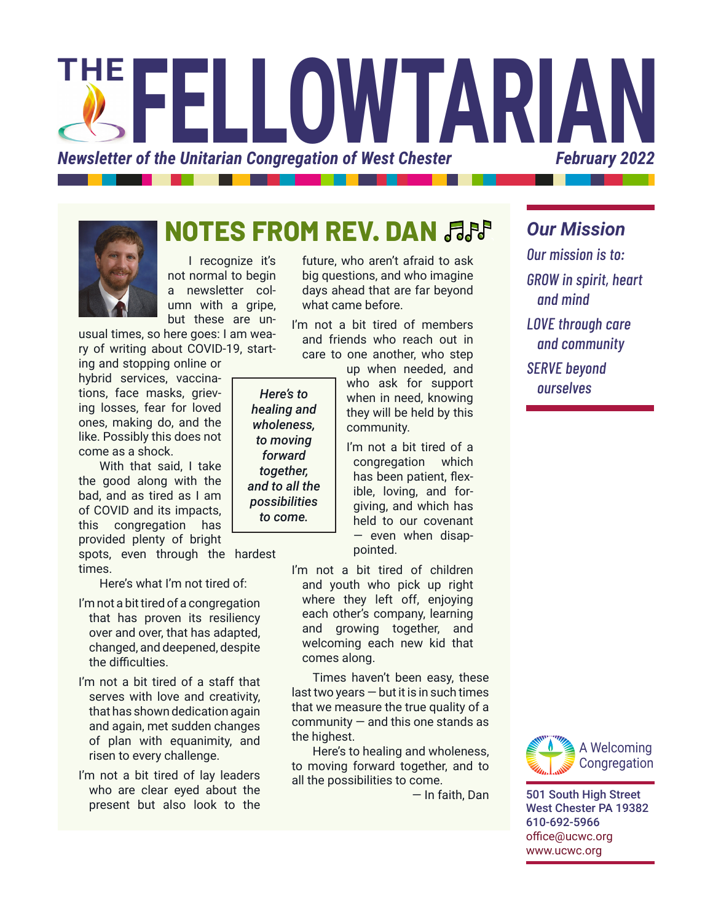



# **NOTES FROM REV. DAN**

I recognize it's not normal to begin a newsletter column with a gripe, but these are un-

usual times, so here goes: I am weary of writing about COVID-19, starting and stopping online or

hybrid services, vaccinations, face masks, grieving losses, fear for loved ones, making do, and the like. Possibly this does not come as a shock.

With that said, I take the good along with the bad, and as tired as I am of COVID and its impacts, this congregation has provided plenty of bright

spots, even through the hardest times.

Here's what I'm not tired of:

- I'm not a bit tired of a congregation that has proven its resiliency over and over, that has adapted, changed, and deepened, despite the difficulties.
- I'm not a bit tired of a staff that serves with love and creativity, that has shown dedication again and again, met sudden changes of plan with equanimity, and risen to every challenge.
- I'm not a bit tired of lay leaders who are clear eyed about the present but also look to the

future, who aren't afraid to ask big questions, and who imagine days ahead that are far beyond what came before.

I'm not a bit tired of members and friends who reach out in care to one another, who step

up when needed, and who ask for support when in need, knowing *ourselves Here's to*  they will be held by this community.

> I'm not a bit tired of a congregation which has been patient, flexible, loving, and forgiving, and which has held to our covenant — even when disappointed.

I'm not a bit tired of children and youth who pick up right where they left off, enjoying each other's company, learning and growing together, and welcoming each new kid that comes along.

Times haven't been easy, these  $last two years - but it is in such times$ that we measure the true quality of a  $commuity -$  and this one stands as the highest.

Here's to healing and wholeness, to moving forward together, and to all the possibilities to come.

— In faith, Dan

#### *Our Mission*

*Our mission is to: GROW in spirit, heart and mind LOVE through care and community SERVE beyond* 



501 South High Street West Chester PA 19382 610-692-5966 [office@ucwc.org](mailto:office%40ucwc.org?subject=) [www.ucwc.org](http://www.ucwc.org)

*healing and wholeness, to moving forward together, and to all the possibilities to come.*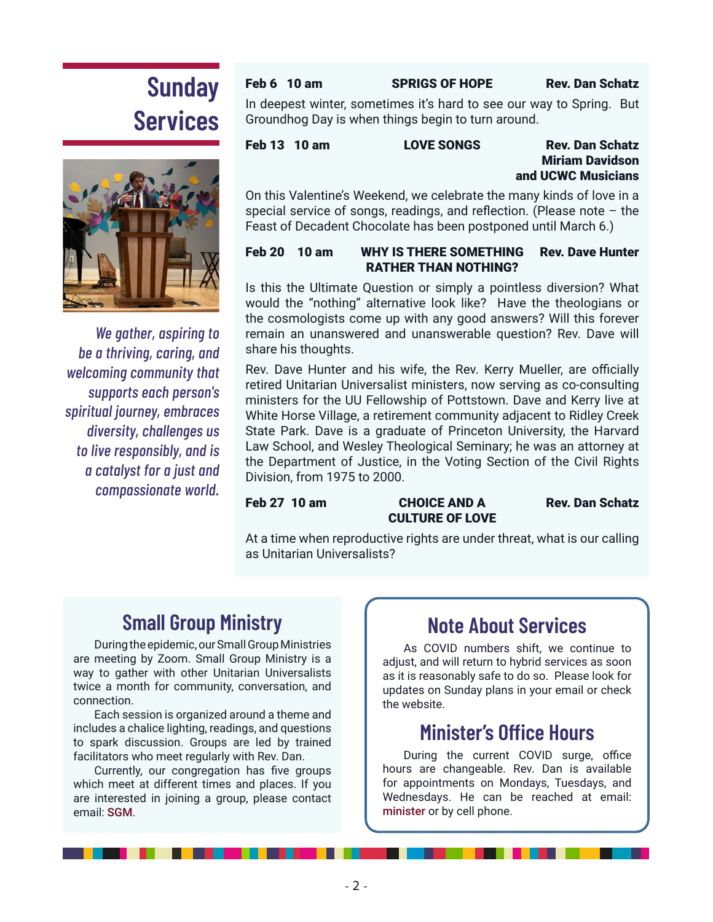# **Sunday Services**



*We gather, aspiring to be a thriving, caring, and welcoming community that supports each person's spiritual journey, embraces diversity, challenges us to live responsibly, and is a catalyst for a just and compassionate world.*

#### Feb 6 10 am SPRIGS OF HOPE Rev. Dan Schatz

In deepest winter, sometimes it's hard to see our way to Spring. But Groundhog Day is when things begin to turn around.

#### Feb 13 10 am LOVE SONGS Rev. Dan Schatz Miriam Davidson and UCWC Musicians

On this Valentine's Weekend, we celebrate the many kinds of love in a special service of songs, readings, and reflection. (Please note – the Feast of Decadent Chocolate has been postponed until March 6.)

#### Feb 20 10 am WHY IS THERE SOMETHING Rev. Dave Hunter RATHER THAN NOTHING?

Is this the Ultimate Question or simply a pointless diversion? What would the "nothing" alternative look like? Have the theologians or the cosmologists come up with any good answers? Will this forever remain an unanswered and unanswerable question? Rev. Dave will share his thoughts.

Rev. Dave Hunter and his wife, the Rev. Kerry Mueller, are officially retired Unitarian Universalist ministers, now serving as co-consulting ministers for the UU Fellowship of Pottstown. Dave and Kerry live at White Horse Village, a retirement community adjacent to Ridley Creek State Park. Dave is a graduate of Princeton University, the Harvard Law School, and Wesley Theological Seminary; he was an attorney at the Department of Justice, in the Voting Section of the Civil Rights Division, from 1975 to 2000.

#### Feb 27 10 am CHOICE AND A Rev. Dan Schatz CULTURE OF LOVE

At a time when reproductive rights are under threat, what is our calling as Unitarian Universalists?

## **Small Group Ministry**

During the epidemic, our Small Group Ministries are meeting by Zoom. Small Group Ministry is a way to gather with other Unitarian Universalists twice a month for community, conversation, and connection.

Each session is organized around a theme and includes a chalice lighting, readings, and questions to spark discussion. Groups are led by trained facilitators who meet regularly with Rev. Dan.

Currently, our congregation has five groups which meet at different times and places. If you are interested in joining a group, please contact email: [SGM](mailto:sgm@ucwc.org?subject=UCWC%20Small%20Group%20Ministry).

#### **Note About Services**

As COVID numbers shift, we continue to adjust, and will return to hybrid services as soon as it is reasonably safe to do so. Please look for updates on Sunday plans in your email or check the website.

#### **Minister's Office Hours**

During the current COVID surge, office hours are changeable. Rev. Dan is available for appointments on Mondays, Tuesdays, and Wednesdays. He can be reached at email: [minister](mailto:minister@ucwc.org) or by cell phone.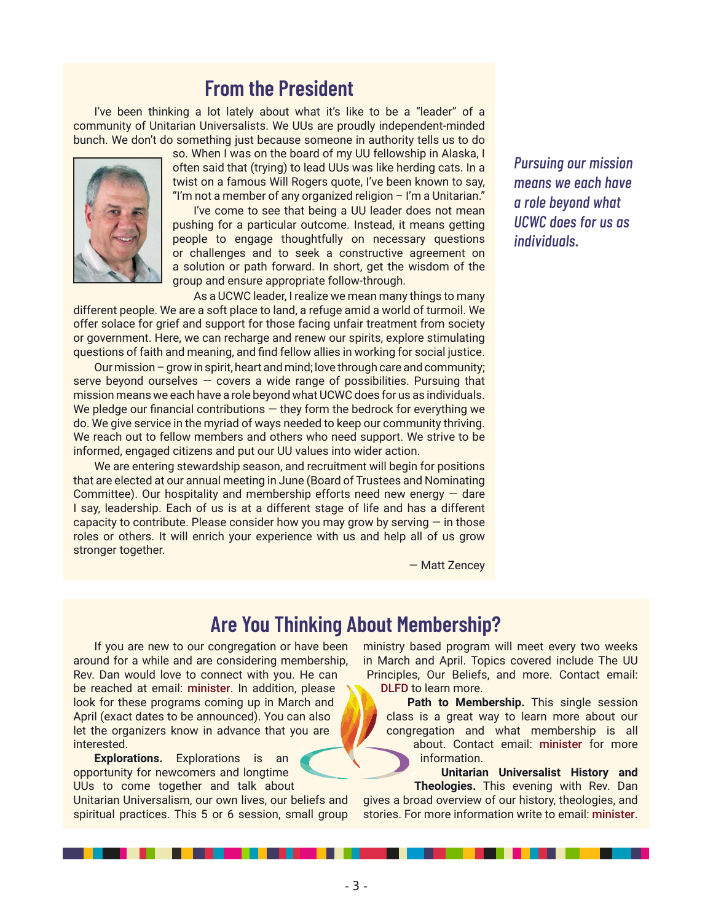#### **From the President**

I've been thinking a lot lately about what it's like to be a "leader" of a community of Unitarian Universalists. We UUs are proudly independent-minded bunch. We don't do something just because someone in authority tells us to do



so. When I was on the board of my UU fellowship in Alaska, I often said that (trying) to lead UUs was like herding cats. In a twist on a famous Will Rogers quote, I've been known to say, "I'm not a member of any organized religion - I'm a Unitarian."

I've come to see that being a UU leader does not mean pushing for a particular outcome. Instead, it means getting people to engage thoughtfully on necessary questions or challenges and to seek a constructive agreement on a solution or path forward. In short, get the wisdom of the group and ensure appropriate follow-through.

As a UCWC leader, I realize we mean many things to many different people. We are a soft place to land, a refuge amid a world of turmoil. We offer solace for grief and support for those facing unfair treatment from society or government. Here, we can recharge and renew our spirits, explore stimulating questions of faith and meaning, and find fellow allies in working for social justice.

Our mission – grow in spirit, heart and mind; love through care and community; serve beyond ourselves  $-$  covers a wide range of possibilities. Pursuing that mission means we each have a role beyond what UCWC does for us as individuals. We pledge our financial contributions  $-$  they form the bedrock for everything we do. We give service in the myriad of ways needed to keep our community thriving. We reach out to fellow members and others who need support. We strive to be informed, engaged citizens and put our UU values into wider action.

We are entering stewardship season, and recruitment will begin for positions that are elected at our annual meeting in June (Board of Trustees and Nominating Committee). Our hospitality and membership efforts need new energy  $-$  dare I say, leadership. Each of us is at a different stage of life and has a different capacity to contribute. Please consider how you may grow by serving  $-$  in those roles or others. It will enrich your experience with us and help all of us grow stronger together.

*Pursuing our mission means we each have a role beyond what UCWC does for us as individuals.* 

— Matt Zencey

#### **Are You Thinking About Membership?**

If you are new to our congregation or have been around for a while and are considering membership, Rev. Dan would love to connect with you. He can be reached at email: [minister](mailto:minister@ucwc.org). In addition, please look for these programs coming up in March and April (exact dates to be announced). You can also let the organizers know in advance that you are interested.

**Explorations.** Explorations is an opportunity for newcomers and longtime UUs to come together and talk about Unitarian Universalism, our own lives, our beliefs and spiritual practices. This 5 or 6 session, small group ministry based program will meet every two weeks in March and April. Topics covered include The UU Principles, Our Beliefs, and more. Contact email: [DLFD](mailto:dlfd@ucwc.org?subject=UCWC%20Explorations) to learn more.

Path to Membership. This single session class is a great way to learn more about our congregation and what membership is all about. Contact email: [minister](mailto:minister@ucwc.org?subject=UCWC%20Path%20to%20Membership) for more information.

**Unitarian Universalist History and Theologies.** This evening with Rev. Dan gives a broad overview of our history, theologies, and stories. For more information write to email: [minister](mailto:minister@ucwc.org?subject=UCWC%20Path%20to%20Membership).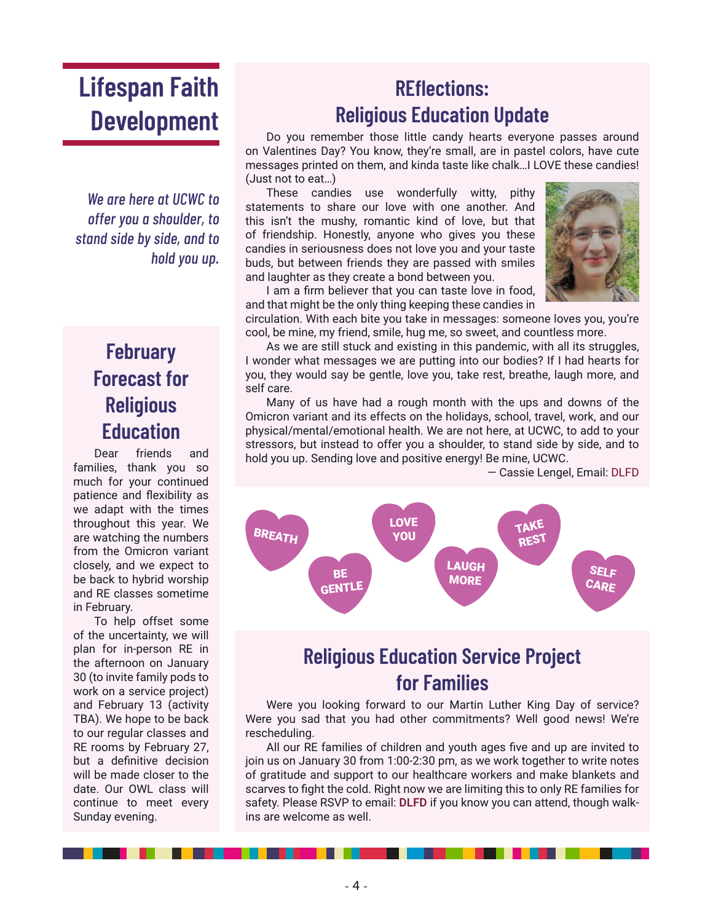# **Lifespan Faith Development**

*We are here at UCWC to offer you a shoulder, to stand side by side, and to hold you up.*

## **February Forecast for Religious Education**

Dear friends and families, thank you so much for your continued patience and flexibility as we adapt with the times throughout this year. We are watching the numbers from the Omicron variant closely, and we expect to be back to hybrid worship and RE classes sometime in February.

To help offset some of the uncertainty, we will plan for in-person RE in the afternoon on January 30 (to invite family pods to work on a service project) and February 13 (activity TBA). We hope to be back to our regular classes and RE rooms by February 27, but a definitive decision will be made closer to the date. Our OWL class will continue to meet every Sunday evening.

## **REflections: Religious Education Update**

Do you remember those little candy hearts everyone passes around on Valentines Day? You know, they're small, are in pastel colors, have cute messages printed on them, and kinda taste like chalk…I LOVE these candies! (Just not to eat…)

These candies use wonderfully witty, pithy statements to share our love with one another. And this isn't the mushy, romantic kind of love, but that of friendship. Honestly, anyone who gives you these candies in seriousness does not love you and your taste buds, but between friends they are passed with smiles and laughter as they create a bond between you.



I am a firm believer that you can taste love in food, and that might be the only thing keeping these candies in

circulation. With each bite you take in messages: someone loves you, you're cool, be mine, my friend, smile, hug me, so sweet, and countless more.

As we are still stuck and existing in this pandemic, with all its struggles, I wonder what messages we are putting into our bodies? If I had hearts for you, they would say be gentle, love you, take rest, breathe, laugh more, and self care.

Many of us have had a rough month with the ups and downs of the Omicron variant and its effects on the holidays, school, travel, work, and our physical/mental/emotional health. We are not here, at UCWC, to add to your stressors, but instead to offer you a shoulder, to stand side by side, and to hold you up. Sending love and positive energy! Be mine, UCWC.

— Cassie Lengel, Email: [DLFD](mailto:DLFD%40ucwc.org?subject=)



#### **Religious Education Service Project for Families**

Were you looking forward to our Martin Luther King Day of service? Were you sad that you had other commitments? Well good news! We're rescheduling.

All our RE families of children and youth ages five and up are invited to join us on January 30 from 1:00-2:30 pm, as we work together to write notes of gratitude and support to our healthcare workers and make blankets and scarves to fight the cold. Right now we are limiting this to only RE families for safety. Please RSVP to email: [DLFD](mailto:DLFD@ucwc.org?subject=Service%20Project) if you know you can attend, though walkins are welcome as well.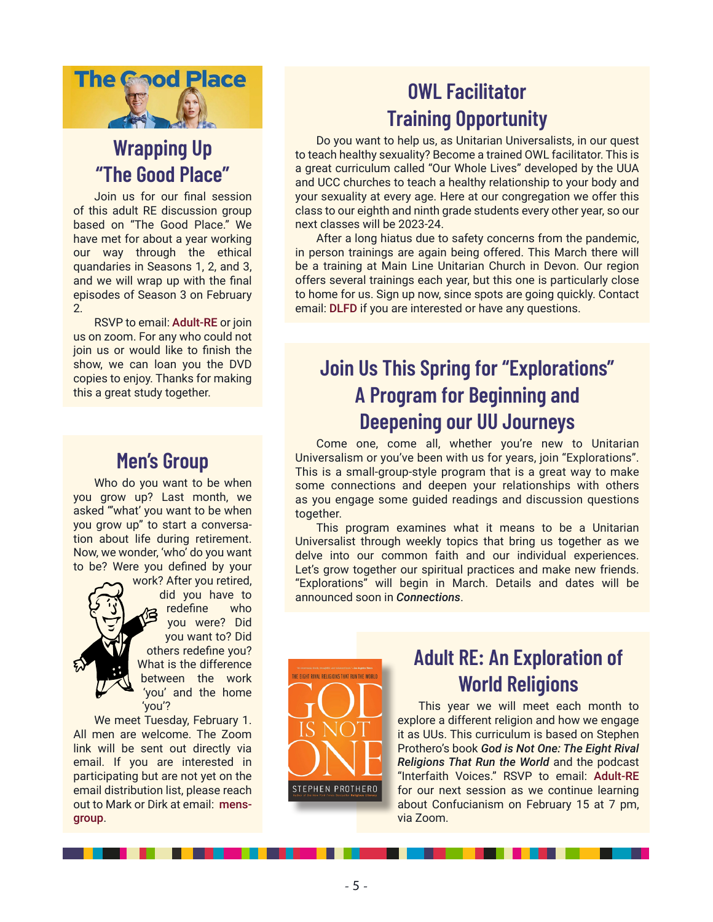

## **Wrapping Up "The Good Place"**

Join us for our final session of this adult RE discussion group based on "The Good Place." We have met for about a year working our way through the ethical quandaries in Seasons 1, 2, and 3, and we will wrap up with the final episodes of Season 3 on February 2.

RSVP to email: [Adult-RE](mailto:Adult-RE@ucwc.org?subject=Ethical%20Discussion%20Group) or join us on zoom. For any who could not join us or would like to finish the show, we can loan you the DVD copies to enjoy. Thanks for making this a great study together.

#### **Men's Group**

Who do you want to be when you grow up? Last month, we asked "'what' you want to be when you grow up" to start a conversation about life during retirement. Now, we wonder, 'who' do you want to be? Were you defined by your

> work? After you retired, did you have to redefine who you were? Did you want to? Did others redefine you? What is the difference between the work 'you' and the home 'you'?

We meet Tuesday, February 1. All men are welcome. The Zoom link will be sent out directly via email. If you are interested in participating but are not yet on the email distribution list, please reach out to Mark or Dirk at email: [mens](mailto:mens-group@ucwc.org?subject=Men)[group](mailto:mens-group@ucwc.org?subject=Men).

## **OWL Facilitator Training Opportunity**

Do you want to help us, as Unitarian Universalists, in our quest to teach healthy sexuality? Become a trained OWL facilitator. This is a great curriculum called "Our Whole Lives" developed by the UUA and UCC churches to teach a healthy relationship to your body and your sexuality at every age. Here at our congregation we offer this class to our eighth and ninth grade students every other year, so our next classes will be 2023-24.

After a long hiatus due to safety concerns from the pandemic, in person trainings are again being offered. This March there will be a training at Main Line Unitarian Church in Devon. Our region offers several trainings each year, but this one is particularly close to home for us. Sign up now, since spots are going quickly. Contact email: [DLFD](mailto:DLFD@ucwc.org?subject=OWL%20Facilitator%20Training) if you are interested or have any questions.

### **Join Us This Spring for "Explorations" A Program for Beginning and Deepening our UU Journeys**

Come one, come all, whether you're new to Unitarian Universalism or you've been with us for years, join "Explorations". This is a small-group-style program that is a great way to make some connections and deepen your relationships with others as you engage some guided readings and discussion questions together.

This program examines what it means to be a Unitarian Universalist through weekly topics that bring us together as we delve into our common faith and our individual experiences. Let's grow together our spiritual practices and make new friends. "Explorations" will begin in March. Details and dates will be announced soon in *Connections*.



### **Adult RE: An Exploration of World Religions**

This year we will meet each month to explore a different religion and how we engage it as UUs. This curriculum is based on Stephen Prothero's book *God is Not One: The Eight Rival Religions That Run the World* and the podcast "Interfaith Voices." RSVP to email: [Adult-RE](mailto:Adult-RE@ucwc.org?subject=Adult%20RE%20-%20World%20Religions) for our next session as we continue learning about Confucianism on February 15 at 7 pm, via Zoom.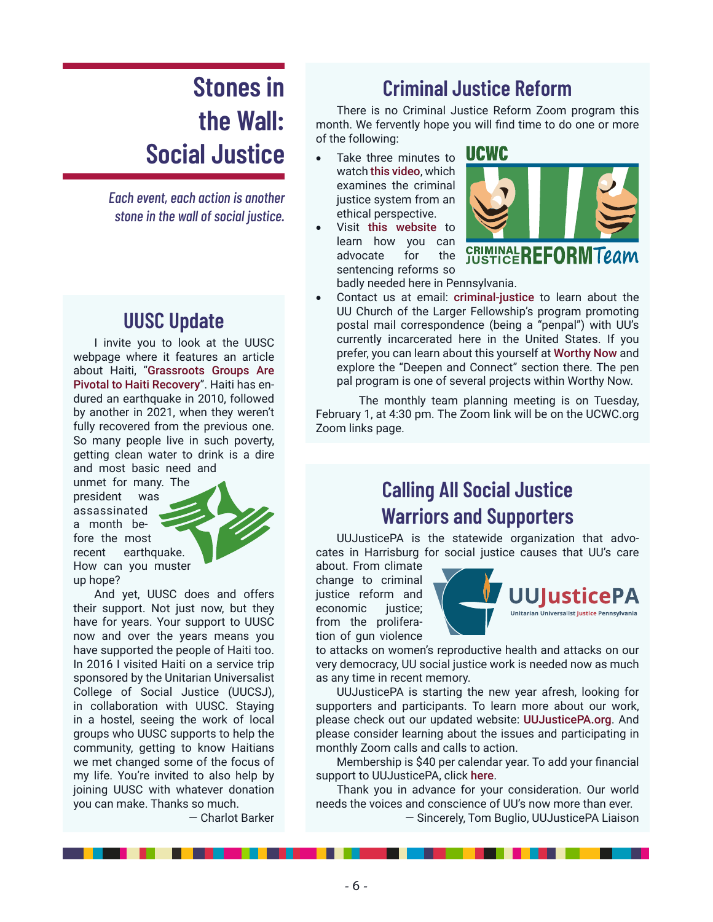# **Stones in the Wall: Social Justice**

*Each event, each action is another stone in the wall of social justice.*

#### **UUSC Update**

I invite you to look at the UUSC webpage where it features an article about Haiti, "[Grassroots Groups Are](https://www.uusc.org/grassroots-groups-are-pivotal-to-haiti-recovery/)  [Pivotal to Haiti Recovery](https://www.uusc.org/grassroots-groups-are-pivotal-to-haiti-recovery/)". Haiti has endured an earthquake in 2010, followed by another in 2021, when they weren't fully recovered from the previous one. So many people live in such poverty, getting clean water to drink is a dire and most basic need and

unmet for many. The president was assassinated a month before the most recent earthquake. How can you muster up hope?

And yet, UUSC does and offers their support. Not just now, but they have for years. Your support to UUSC now and over the years means you have supported the people of Haiti too. In 2016 I visited Haiti on a service trip sponsored by the Unitarian Universalist College of Social Justice (UUCSJ), in collaboration with UUSC. Staying in a hostel, seeing the work of local groups who UUSC supports to help the community, getting to know Haitians we met changed some of the focus of my life. You're invited to also help by joining UUSC with whatever donation you can make. Thanks so much.

— Charlot Barker

#### **Criminal Justice Reform**

There is no Criminal Justice Reform Zoom program this month. We fervently hope you will find time to do one or more of the following:

- Take three minutes to watch [this video](https://www.youtube.com/watch?v=M3XGQd4i5zM), which examines the criminal justice system from an ethical perspective.
- Visit [this website](https://famm.org/our-work/states-where-we-are-working/pennsylvania/) to learn how you can advocate for the sentencing reforms so



badly needed here in Pennsylvania.

Contact us at email: [criminal-justice](mailto:criminal-justice@ucwc.org) to learn about the UU Church of the Larger Fellowship's program promoting postal mail correspondence (being a "penpal") with UU's currently incarcerated here in the United States. If you prefer, you can learn about this yourself at [Worthy Now](https://worthynow.org/) and explore the "Deepen and Connect" section there. The pen pal program is one of several projects within Worthy Now.

 The monthly team planning meeting is on Tuesday, February 1, at 4:30 pm. The Zoom link will be on the UCWC.org Zoom links page.

### **Calling All Social Justice Warriors and Supporters**

UUJusticePA is the statewide organization that advocates in Harrisburg for social justice causes that UU's care

about. From climate change to criminal justice reform and economic justice; from the proliferation of gun violence



to attacks on women's reproductive health and attacks on our very democracy, UU social justice work is needed now as much as any time in recent memory.

UUJusticePA is starting the new year afresh, looking for supporters and participants. To learn more about our work, please check out our updated website: [UUJusticePA.org](https://uujusticepa.org/). And please consider learning about the issues and participating in monthly Zoom calls and calls to action.

Membership is \$40 per calendar year. To add your financial support to UUJusticePA, click [here](https://uujusticepa.salsalabs.org/eoyfundraiserdonationsform).

Thank you in advance for your consideration. Our world needs the voices and conscience of UU's now more than ever.

— Sincerely, Tom Buglio, UUJusticePA Liaison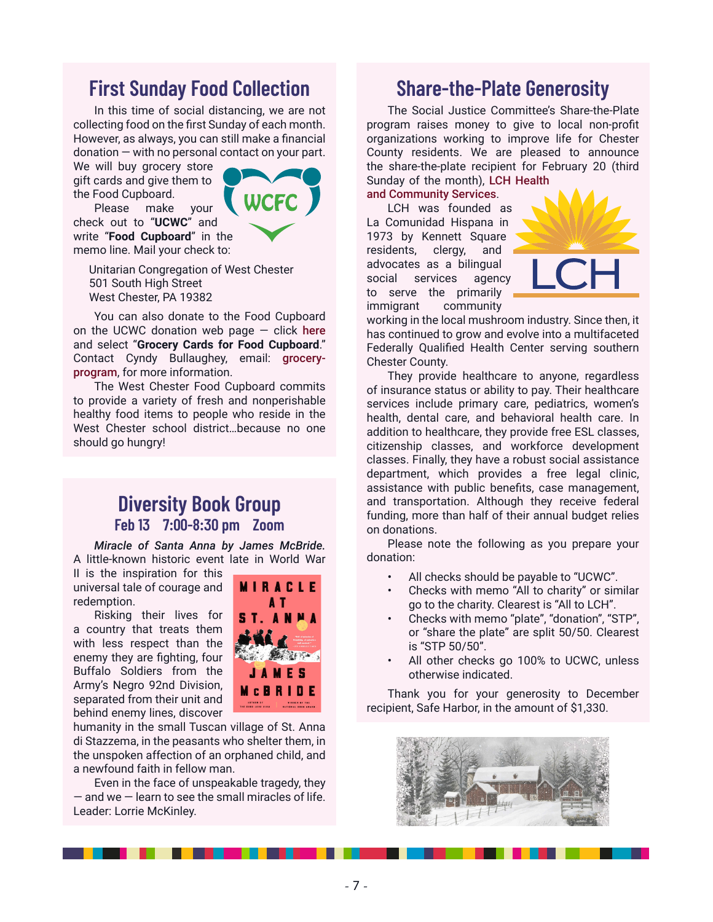#### **First Sunday Food Collection**

In this time of social distancing, we are not collecting food on the first Sunday of each month. However, as always, you can still make a financial donation — with no personal contact on your part.

We will buy grocery store gift cards and give them to the Food Cupboard.

Please make your check out to "**UCWC**" and write "**Food Cupboard**" in the memo line. Mail your check to:



Unitarian Congregation of West Chester 501 South High Street West Chester, PA 19382

You can also donate to the Food Cupboard on the UCWC donation web page  $-$  click [here](https://www.eservicepayments.com/cgi-bin/Vanco_ver3.vps?appver3=Fi1giPL8kwX_Oe1AO50jRj0MjRUQxia6cKrDTyyikzpUURu6t8jlt9eqL6q2Eewtk0PpduXvnt8gXUeZjQYbn0oiToseO_A9YCqwPg3oX8Y=) and select "**Grocery Cards for Food Cupboard**." Contact Cyndy Bullaughey, email: [grocery](mailto:grocery-program@ucwc.org?subject=UCWC%20Grocery%20Cards%20for%20the%20Food%20Cupboard)[program](mailto:grocery-program@ucwc.org?subject=UCWC%20Grocery%20Cards%20for%20the%20Food%20Cupboard), for more information.

The West Chester Food Cupboard commits to provide a variety of fresh and nonperishable healthy food items to people who reside in the West Chester school district…because no one should go hungry!

#### **Diversity Book Group Feb 13 7:00-8:30 pm Zoom**

*Miracle of Santa Anna by James McBride.* A little-known historic event late in World War

II is the inspiration for this universal tale of courage and redemption.

Risking their lives for a country that treats them with less respect than the enemy they are fighting, four Buffalo Soldiers from the Army's Negro 92nd Division, separated from their unit and behind enemy lines, discover



humanity in the small Tuscan village of St. Anna di Stazzema, in the peasants who shelter them, in the unspoken affection of an orphaned child, and a newfound faith in fellow man.

Even in the face of unspeakable tragedy, they  $-$  and we  $-$  learn to see the small miracles of life. Leader: Lorrie McKinley.

#### **Share-the-Plate Generosity**

The Social Justice Committee's Share-the-Plate program raises money to give to local non-profit organizations working to improve life for Chester County residents. We are pleased to announce the share-the-plate recipient for February 20 (third Sunday of the month), [LCH Health](https://lchcommunityhealth.org/) 

[and Community Services](https://lchcommunityhealth.org/).

LCH was founded as La Comunidad Hispana in 1973 by Kennett Square residents, clergy, and advocates as a bilingual social services agency to serve the primarily immigrant community



working in the local mushroom industry. Since then, it has continued to grow and evolve into a multifaceted Federally Qualified Health Center serving southern Chester County.

They provide healthcare to anyone, regardless of insurance status or ability to pay. Their healthcare services include primary care, pediatrics, women's health, dental care, and behavioral health care. In addition to healthcare, they provide free ESL classes, citizenship classes, and workforce development classes. Finally, they have a robust social assistance department, which provides a free legal clinic, assistance with public benefits, case management, and transportation. Although they receive federal funding, more than half of their annual budget relies on donations.

Please note the following as you prepare your donation:

- All checks should be payable to "UCWC".
- Checks with memo "All to charity" or similar go to the charity. Clearest is "All to LCH".
- Checks with memo "plate", "donation", "STP", or "share the plate" are split 50/50. Clearest is "STP 50/50".
- All other checks go 100% to UCWC, unless otherwise indicated.

Thank you for your generosity to December recipient, Safe Harbor, in the amount of \$1,330.